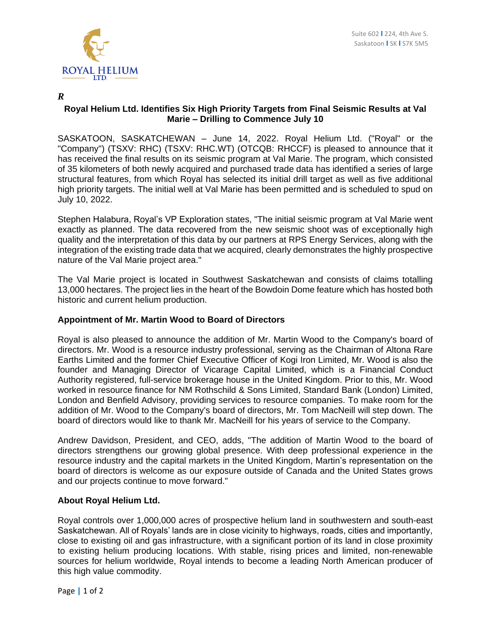

## *R*

## **Royal Helium Ltd. Identifies Six High Priority Targets from Final Seismic Results at Val Marie – Drilling to Commence July 10**

SASKATOON, SASKATCHEWAN – June 14, 2022. Royal Helium Ltd. ("Royal" or the "Company") (TSXV: RHC) (TSXV: RHC.WT) (OTCQB: RHCCF) is pleased to announce that it has received the final results on its seismic program at Val Marie. The program, which consisted of 35 kilometers of both newly acquired and purchased trade data has identified a series of large structural features, from which Royal has selected its initial drill target as well as five additional high priority targets. The initial well at Val Marie has been permitted and is scheduled to spud on July 10, 2022.

Stephen Halabura, Royal's VP Exploration states, "The initial seismic program at Val Marie went exactly as planned. The data recovered from the new seismic shoot was of exceptionally high quality and the interpretation of this data by our partners at RPS Energy Services, along with the integration of the existing trade data that we acquired, clearly demonstrates the highly prospective nature of the Val Marie project area."

The Val Marie project is located in Southwest Saskatchewan and consists of claims totalling 13,000 hectares. The project lies in the heart of the Bowdoin Dome feature which has hosted both historic and current helium production.

## **Appointment of Mr. Martin Wood to Board of Directors**

Royal is also pleased to announce the addition of Mr. Martin Wood to the Company's board of directors. Mr. Wood is a resource industry professional, serving as the Chairman of Altona Rare Earths Limited and the former Chief Executive Officer of Kogi Iron Limited, Mr. Wood is also the founder and Managing Director of Vicarage Capital Limited, which is a Financial Conduct Authority registered, full-service brokerage house in the United Kingdom. Prior to this, Mr. Wood worked in resource finance for NM Rothschild & Sons Limited, Standard Bank (London) Limited, London and Benfield Advisory, providing services to resource companies. To make room for the addition of Mr. Wood to the Company's board of directors, Mr. Tom MacNeill will step down. The board of directors would like to thank Mr. MacNeill for his years of service to the Company.

Andrew Davidson, President, and CEO, adds, "The addition of Martin Wood to the board of directors strengthens our growing global presence. With deep professional experience in the resource industry and the capital markets in the United Kingdom, Martin's representation on the board of directors is welcome as our exposure outside of Canada and the United States grows and our projects continue to move forward."

## **About Royal Helium Ltd.**

Royal controls over 1,000,000 acres of prospective helium land in southwestern and south-east Saskatchewan. All of Royals' lands are in close vicinity to highways, roads, cities and importantly, close to existing oil and gas infrastructure, with a significant portion of its land in close proximity to existing helium producing locations. With stable, rising prices and limited, non-renewable sources for helium worldwide, Royal intends to become a leading North American producer of this high value commodity.